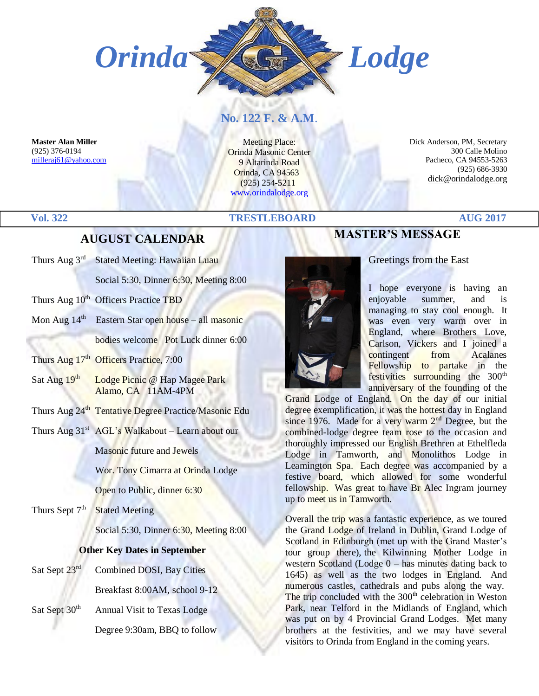

## **No. 122 F. & A.M**.

**Master Alan Miller** (925) 376-0194 [milleraj61@yahoo.com](mailto:milleraj61@yahoo.com)

Meeting Place: Orinda Masonic Center 9 Altarinda Road Orinda, CA 94563 (925) 254-5211 [www.orindalodge.org](http://www.orindalodge.org/)

 Dick Anderson, PM, Secretary 300 Calle Molino Pacheco, CA 94553-5263 (925) 686-3930 dick@orindalodge.org

#### **Vol. 322 TRESTLEBOARD AUG 2017**

## **AUGUST CALENDAR**

- Thurs Aug 3<sup>rd</sup> Stated Meeting: Hawaiian Luau Social 5:30, Dinner 6:30, Meeting 8:00
- Thurs Aug 10<sup>th</sup> Officers Practice TBD
- Mon Aug 14<sup>th</sup> Eastern Star open house all masonic bodies welcome Pot Luck dinner 6:00
- Thurs Aug 17<sup>th</sup> Officers Practice, 7:00
- Sat Aug  $19<sup>th</sup>$  Lodge Picnic @ Hap Magee Park Alamo, CA 11AM-4PM
- Thurs Aug 24<sup>th</sup> Tentative Degree Practice/Masonic Edu
- Thurs Aug  $31<sup>st</sup>$  AGL's Walkabout Learn about our

Masonic future and Jewels

Wor. Tony Cimarra at Orinda Lodge

Open to Public, dinner 6:30

Thurs Sept  $7<sup>th</sup>$ Stated Meeting

Social 5:30, Dinner 6:30, Meeting 8:00

#### **Other Key Dates in September**

Sat Sept 23<sup>rd</sup> Combined DOSI, Bay Cities

Breakfast 8:00AM, school 9-12

Sat Sept 30<sup>th</sup> Annual Visit to Texas Lodge

Degree 9:30am, BBQ to follow

# **MASTER'S MESSAGE**

#### Greetings from the East

I hope everyone is having an enjoyable summer, and is managing to stay cool enough. It was even very warm over in England, where Brothers Love, Carlson, Vickers and I joined a contingent from Acalanes Fellowship to partake in the festivities surrounding the 300<sup>th</sup> anniversary of the founding of the

Grand Lodge of England. On the day of our initial degree exemplification, it was the hottest day in England since 1976. Made for a very warm  $2<sup>nd</sup>$  Degree, but the combined-lodge degree team rose to the occasion and thoroughly impressed our English Brethren at Ethelfleda Lodge in Tamworth, and Monolithos Lodge in Leamington Spa. Each degree was accompanied by a festive board, which allowed for some wonderful fellowship. Was great to have Br Alec Ingram journey up to meet us in Tamworth.

Overall the trip was a fantastic experience, as we toured the Grand Lodge of Ireland in Dublin, Grand Lodge of Scotland in Edinburgh (met up with the Grand Master's tour group there), the Kilwinning Mother Lodge in western Scotland (Lodge 0 – has minutes dating back to 1645) as well as the two lodges in England. And numerous castles, cathedrals and pubs along the way. The trip concluded with the  $300<sup>th</sup>$  celebration in Weston Park, near Telford in the Midlands of England, which was put on by 4 Provincial Grand Lodges. Met many brothers at the festivities, and we may have several visitors to Orinda from England in the coming years.

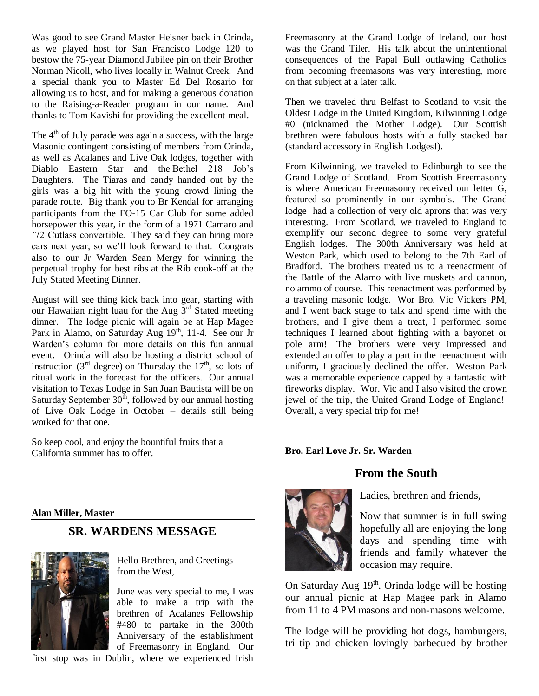Was good to see Grand Master Heisner back in Orinda, as we played host for San Francisco Lodge 120 to bestow the 75-year Diamond Jubilee pin on their Brother Norman Nicoll, who lives locally in Walnut Creek. And a special thank you to Master Ed Del Rosario for allowing us to host, and for making a generous donation to the Raising-a-Reader program in our name. And thanks to Tom Kavishi for providing the excellent meal.

The 4<sup>th</sup> of July parade was again a success, with the large Masonic contingent consisting of members from Orinda, as well as Acalanes and Live Oak lodges, together with Diablo Eastern Star and the Bethel 218 Job's Daughters. The Tiaras and candy handed out by the girls was a big hit with the young crowd lining the parade route. Big thank you to Br Kendal for arranging participants from the FO-15 Car Club for some added horsepower this year, in the form of a 1971 Camaro and '72 Cutlass convertible. They said they can bring more cars next year, so we'll look forward to that. Congrats also to our Jr Warden Sean Mergy for winning the perpetual trophy for best ribs at the Rib cook-off at the July Stated Meeting Dinner.

August will see thing kick back into gear, starting with our Hawaiian night luau for the Aug 3rd Stated meeting dinner. The lodge picnic will again be at Hap Magee Park in Alamo, on Saturday Aug 19<sup>th</sup>, 11-4. See our Jr Warden's column for more details on this fun annual event. Orinda will also be hosting a district school of instruction (3<sup>rd</sup> degree) on Thursday the 17<sup>th</sup>, so lots of ritual work in the forecast for the officers. Our annual visitation to Texas Lodge in San Juan Bautista will be on Saturday September  $30<sup>th</sup>$ , followed by our annual hosting of Live Oak Lodge in October – details still being worked for that one.

So keep cool, and enjoy the bountiful fruits that a California summer has to offer.

Freemasonry at the Grand Lodge of Ireland, our host was the Grand Tiler. His talk about the unintentional consequences of the Papal Bull outlawing Catholics from becoming freemasons was very interesting, more on that subject at a later talk.

Then we traveled thru Belfast to Scotland to visit the Oldest Lodge in the United Kingdom, Kilwinning Lodge #0 (nicknamed the Mother Lodge). Our Scottish brethren were fabulous hosts with a fully stacked bar (standard accessory in English Lodges!).

From Kilwinning, we traveled to Edinburgh to see the Grand Lodge of Scotland. From Scottish Freemasonry is where American Freemasonry received our letter G, featured so prominently in our symbols. The Grand lodge had a collection of very old aprons that was very interesting. From Scotland, we traveled to England to exemplify our second degree to some very grateful English lodges. The 300th Anniversary was held at Weston Park, which used to belong to the 7th Earl of Bradford. The brothers treated us to a reenactment of the Battle of the Alamo with live muskets and cannon, no ammo of course. This reenactment was performed by a traveling masonic lodge. Wor Bro. Vic Vickers PM, and I went back stage to talk and spend time with the brothers, and I give them a treat, I performed some techniques I learned about fighting with a bayonet or pole arm! The brothers were very impressed and extended an offer to play a part in the reenactment with uniform, I graciously declined the offer. Weston Park was a memorable experience capped by a fantastic with fireworks display. Wor. Vic and I also visited the crown jewel of the trip, the United Grand Lodge of England! Overall, a very special trip for me!

#### **Bro. Earl Love Jr. Sr. Warden**

#### **From the South**



Ladies, brethren and friends,

Now that summer is in full swing hopefully all are enjoying the long days and spending time with friends and family whatever the occasion may require.

On Saturday Aug  $19<sup>th</sup>$ . Orinda lodge will be hosting our annual picnic at Hap Magee park in Alamo from 11 to 4 PM masons and non-masons welcome.

The lodge will be providing hot dogs, hamburgers, tri tip and chicken lovingly barbecued by brother

#### **Alan Miller, Master**

#### **SR. WARDENS MESSAGE**



Hello Brethren, and Greetings from the West,

June was very special to me, I was able to make a trip with the brethren of Acalanes Fellowship #480 to partake in the 300th Anniversary of the establishment of Freemasonry in England. Our

first stop was in Dublin, where we experienced Irish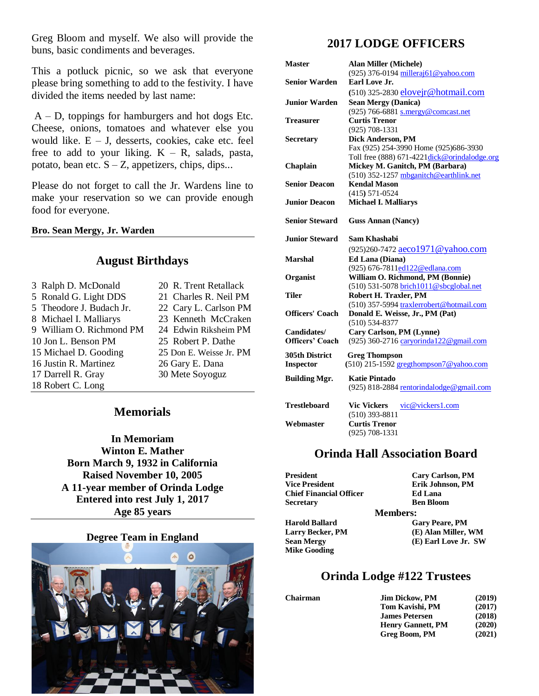Greg Bloom and myself. We also will provide the buns, basic condiments and beverages.

This a potluck picnic, so we ask that everyone please bring something to add to the festivity. I have divided the items needed by last name:

A – D, toppings for hamburgers and hot dogs Etc. Cheese, onions, tomatoes and whatever else you would like.  $E - J$ , desserts, cookies, cake etc. feel free to add to your liking.  $K - R$ , salads, pasta, potato, bean etc.  $S - Z$ , appetizers, chips, dips...

Please do not forget to call the Jr. Wardens line to make your reservation so we can provide enough food for everyone.

**Bro. Sean Mergy, Jr. Warden**

#### **August Birthdays**

| 3 Ralph D. McDonald      | 20 R. Trent Retallack   |
|--------------------------|-------------------------|
| 5 Ronald G. Light DDS    | 21 Charles R. Neil PM   |
| 5 Theodore J. Budach Jr. | 22 Cary L. Carlson PM   |
| 8 Michael I. Malliarys   | 23 Kenneth McCraken     |
| 9 William O. Richmond PM | 24 Edwin Riksheim PM    |
| 10 Jon L. Benson PM      | 25 Robert P. Dathe      |
| 15 Michael D. Gooding    | 25 Don E. Weisse Jr. PM |
| 16 Justin R. Martinez    | 26 Gary E. Dana         |
| 17 Darrell R. Gray       | 30 Mete Soyoguz         |
| 18 Robert C. Long        |                         |
|                          |                         |

### **Memorials**

**In Memoriam Winton E. Mather Born March 9, 1932 in California Raised November 10, 2005 A 11-year member of Orinda Lodge Entered into rest July 1, 2017 Age 85 years**

#### **Degree Team in England**



# **2017 LODGE OFFICERS**

| <b>Master</b>          | <b>Alan Miller (Michele)</b>                  |
|------------------------|-----------------------------------------------|
|                        | (925) 376-0194 milleraj61@yahoo.com           |
| <b>Senior Warden</b>   | Earl Love Jr.                                 |
|                        | (510) 325-2830 elovejr@hotmail.com            |
| <b>Junior Warden</b>   | <b>Sean Mergy (Danica)</b>                    |
|                        | (925) 766-6881 s.mergy@comcast.net            |
| Treasurer              | <b>Curtis Trenor</b>                          |
|                        | $(925) 708 - 1331$                            |
| <b>Secretary</b>       | <b>Dick Anderson, PM</b>                      |
|                        | Fax (925) 254-3990 Home (925)686-3930         |
|                        | Toll free (888) 671-4221 dick@orindalodge.org |
| Chaplain               | Mickey M. Ganitch, PM (Barbara)               |
|                        | (510) 352-1257 mbganitch@earthlink.net        |
| <b>Senior Deacon</b>   | <b>Kendal Mason</b>                           |
|                        | $(415) 571 - 0524$                            |
| <b>Junior Deacon</b>   | <b>Michael I. Malliarys</b>                   |
|                        |                                               |
| <b>Senior Steward</b>  | <b>Guss Annan (Nancy)</b>                     |
| <b>Junior Steward</b>  | Sam Khashabi                                  |
|                        | (925)260-7472 aeco1971@yahoo.com              |
| <b>Marshal</b>         | Ed Lana (Diana)                               |
|                        | (925) 676-7811ed122@edlana.com                |
| Organist               | William O. Richmond, PM (Bonnie)              |
|                        | (510) 531-5078 brich1011@sbcglobal.net        |
| Tiler                  | Robert H. Traxler, PM                         |
|                        | (510) 357-5994 traxlerrobert@hotmail.com      |
| <b>Officers' Coach</b> | Donald E. Weisse, Jr., PM (Pat)               |
|                        | $(510) 534 - 8377$                            |
| Candidates/            | Cary Carlson, PM (Lynne)                      |
| <b>Officers' Coach</b> | (925) 360-2716 caryorinda122@gmail.com        |
| <b>305th District</b>  | <b>Greg Thompson</b>                          |
| <b>Inspector</b>       | (510) 215-1592 gregthompson7@yahoo.com        |
|                        |                                               |
| <b>Building Mgr.</b>   | Katie Pintado                                 |
|                        | (925) 818-2884 rentorindalodge@gmail.com      |
| <b>Trestleboard</b>    | <b>Vic Vickers</b><br>vic@vickers1.com        |
|                        | $(510)$ 393-8811                              |
| Webmaster              | <b>Curtis Trenor</b>                          |
|                        | $(925) 708 - 1331$                            |
|                        |                                               |

#### **Orinda Hall Association Board**

| <b>Cary Carlson, PM</b> |
|-------------------------|
| Erik Johnson, PM        |
| <b>Ed Lana</b>          |
| <b>Ben Bloom</b>        |
| <b>Members:</b>         |
| <b>Gary Peare, PM</b>   |
| (E) Alan Miller, WM     |
| (E) Earl Love Jr. SW    |
|                         |
|                         |

### **Orinda Lodge #122 Trustees**

| <b>Jim Dickow, PM</b>    | (2019) |
|--------------------------|--------|
| Tom Kavishi, PM          | (2017) |
| <b>James Petersen</b>    | (2018) |
| <b>Henry Gannett, PM</b> | (2020) |
| Greg Boom, PM            | (2021) |
|                          |        |